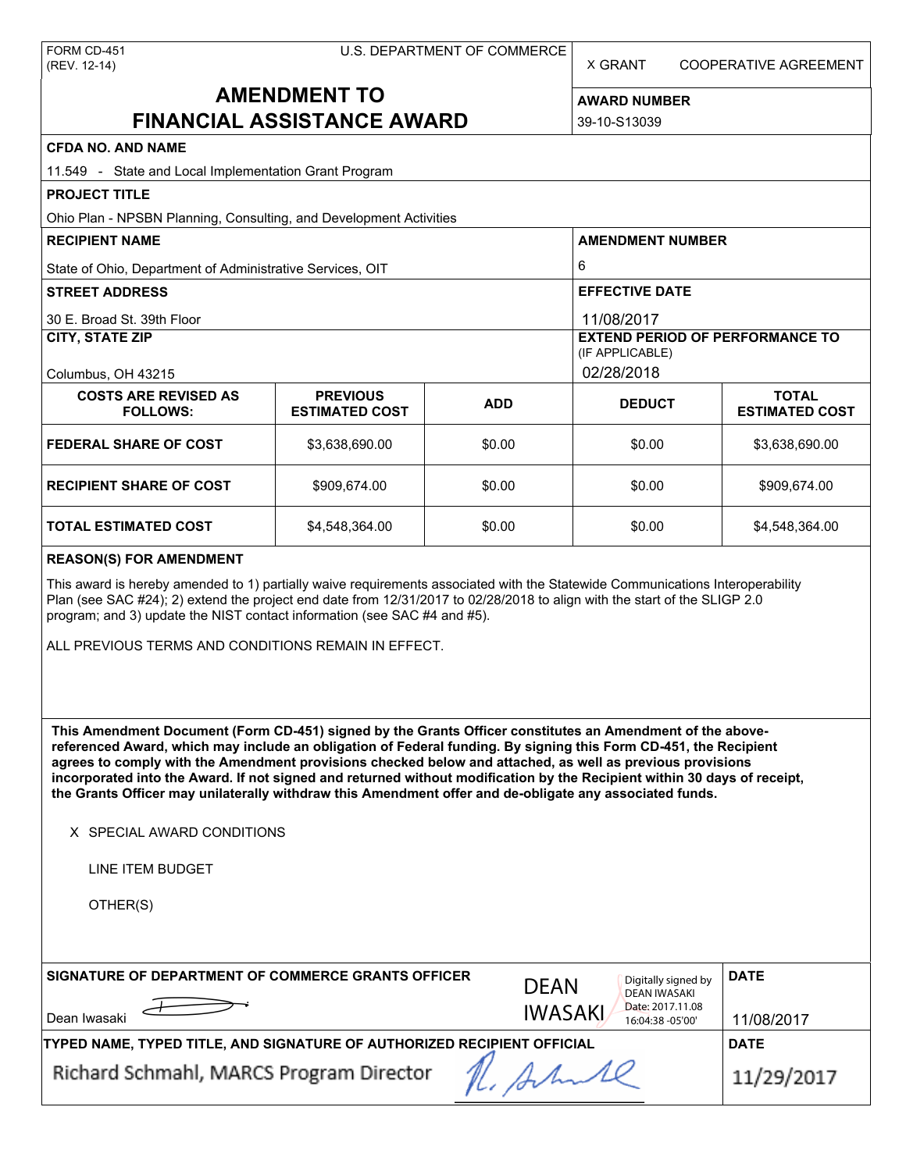X GRANT COOPERATIVE AGREEMENT

# **AMENDMENT TO FINANCIAL ASSISTANCE AWARD**

**AWARD NUMBER** 39-10-S13039

# **CFDA NO. AND NAME**

| <b>CFDA NO. AND NAME</b>                                                                                                                                                                                                                                                                                                                                                                                                                                                                                                                                                          |                                          |                |                                                           |                                       |  |  |  |
|-----------------------------------------------------------------------------------------------------------------------------------------------------------------------------------------------------------------------------------------------------------------------------------------------------------------------------------------------------------------------------------------------------------------------------------------------------------------------------------------------------------------------------------------------------------------------------------|------------------------------------------|----------------|-----------------------------------------------------------|---------------------------------------|--|--|--|
| 11.549 - State and Local Implementation Grant Program                                                                                                                                                                                                                                                                                                                                                                                                                                                                                                                             |                                          |                |                                                           |                                       |  |  |  |
| <b>PROJECT TITLE</b>                                                                                                                                                                                                                                                                                                                                                                                                                                                                                                                                                              |                                          |                |                                                           |                                       |  |  |  |
| Ohio Plan - NPSBN Planning, Consulting, and Development Activities                                                                                                                                                                                                                                                                                                                                                                                                                                                                                                                |                                          |                |                                                           |                                       |  |  |  |
| <b>RECIPIENT NAME</b>                                                                                                                                                                                                                                                                                                                                                                                                                                                                                                                                                             |                                          |                | <b>AMENDMENT NUMBER</b>                                   |                                       |  |  |  |
| State of Ohio, Department of Administrative Services, OIT                                                                                                                                                                                                                                                                                                                                                                                                                                                                                                                         |                                          |                | 6                                                         |                                       |  |  |  |
| <b>STREET ADDRESS</b>                                                                                                                                                                                                                                                                                                                                                                                                                                                                                                                                                             |                                          |                | <b>EFFECTIVE DATE</b>                                     |                                       |  |  |  |
| 30 E. Broad St. 39th Floor                                                                                                                                                                                                                                                                                                                                                                                                                                                                                                                                                        |                                          |                | 11/08/2017                                                |                                       |  |  |  |
| <b>CITY, STATE ZIP</b>                                                                                                                                                                                                                                                                                                                                                                                                                                                                                                                                                            |                                          |                | <b>EXTEND PERIOD OF PERFORMANCE TO</b><br>(IF APPLICABLE) |                                       |  |  |  |
| Columbus, OH 43215                                                                                                                                                                                                                                                                                                                                                                                                                                                                                                                                                                |                                          | 02/28/2018     |                                                           |                                       |  |  |  |
| <b>COSTS ARE REVISED AS</b><br><b>FOLLOWS:</b>                                                                                                                                                                                                                                                                                                                                                                                                                                                                                                                                    | <b>PREVIOUS</b><br><b>ESTIMATED COST</b> | <b>ADD</b>     | <b>DEDUCT</b>                                             | <b>TOTAL</b><br><b>ESTIMATED COST</b> |  |  |  |
| <b>FEDERAL SHARE OF COST</b>                                                                                                                                                                                                                                                                                                                                                                                                                                                                                                                                                      | \$3,638,690.00                           | \$0.00         | \$0.00                                                    | \$3,638,690.00                        |  |  |  |
| <b>RECIPIENT SHARE OF COST</b>                                                                                                                                                                                                                                                                                                                                                                                                                                                                                                                                                    | \$909,674.00                             | \$0.00         | \$0.00                                                    | \$909,674.00                          |  |  |  |
| TOTAL ESTIMATED COST                                                                                                                                                                                                                                                                                                                                                                                                                                                                                                                                                              | \$4,548,364.00                           | \$0.00         | \$0.00                                                    | \$4,548,364.00                        |  |  |  |
| <b>REASON(S) FOR AMENDMENT</b>                                                                                                                                                                                                                                                                                                                                                                                                                                                                                                                                                    |                                          |                |                                                           |                                       |  |  |  |
| This award is hereby amended to 1) partially waive requirements associated with the Statewide Communications Interoperability<br>Plan (see SAC #24); 2) extend the project end date from 12/31/2017 to 02/28/2018 to align with the start of the SLIGP 2.0<br>program; and 3) update the NIST contact information (see SAC #4 and #5).<br>ALL PREVIOUS TERMS AND CONDITIONS REMAIN IN EFFECT.                                                                                                                                                                                     |                                          |                |                                                           |                                       |  |  |  |
|                                                                                                                                                                                                                                                                                                                                                                                                                                                                                                                                                                                   |                                          |                |                                                           |                                       |  |  |  |
| This Amendment Document (Form CD-451) signed by the Grants Officer constitutes an Amendment of the above-<br>referenced Award, which may include an obligation of Federal funding. By signing this Form CD-451, the Recipient<br>agrees to comply with the Amendment provisions checked below and attached, as well as previous provisions<br>incorporated into the Award. If not signed and returned without modification by the Recipient within 30 days of receipt,<br>the Grants Officer may unilaterally withdraw this Amendment offer and de-obligate any associated funds. |                                          |                |                                                           |                                       |  |  |  |
| X SPECIAL AWARD CONDITIONS                                                                                                                                                                                                                                                                                                                                                                                                                                                                                                                                                        |                                          |                |                                                           |                                       |  |  |  |
| LINE ITEM BUDGET                                                                                                                                                                                                                                                                                                                                                                                                                                                                                                                                                                  |                                          |                |                                                           |                                       |  |  |  |
| OTHER(S)                                                                                                                                                                                                                                                                                                                                                                                                                                                                                                                                                                          |                                          |                |                                                           |                                       |  |  |  |
|                                                                                                                                                                                                                                                                                                                                                                                                                                                                                                                                                                                   |                                          |                |                                                           |                                       |  |  |  |
| SIGNATURE OF DEPARTMENT OF COMMERCE GRANTS OFFICER                                                                                                                                                                                                                                                                                                                                                                                                                                                                                                                                |                                          | <b>DEAN</b>    | Digitally signed by<br><b>DEAN IWASAKI</b>                | <b>DATE</b>                           |  |  |  |
| Dean Iwasaki                                                                                                                                                                                                                                                                                                                                                                                                                                                                                                                                                                      |                                          | <b>IWASAKI</b> | Date: 2017.11.08<br>16:04:38 -05'00'                      | 11/08/2017                            |  |  |  |
| TYPED NAME, TYPED TITLE, AND SIGNATURE OF AUTHORIZED RECIPIENT OFFICIAL                                                                                                                                                                                                                                                                                                                                                                                                                                                                                                           | <b>DATE</b>                              |                |                                                           |                                       |  |  |  |
| Richard Schmahl, MARCS Program Director                                                                                                                                                                                                                                                                                                                                                                                                                                                                                                                                           | 11/29/2017                               |                |                                                           |                                       |  |  |  |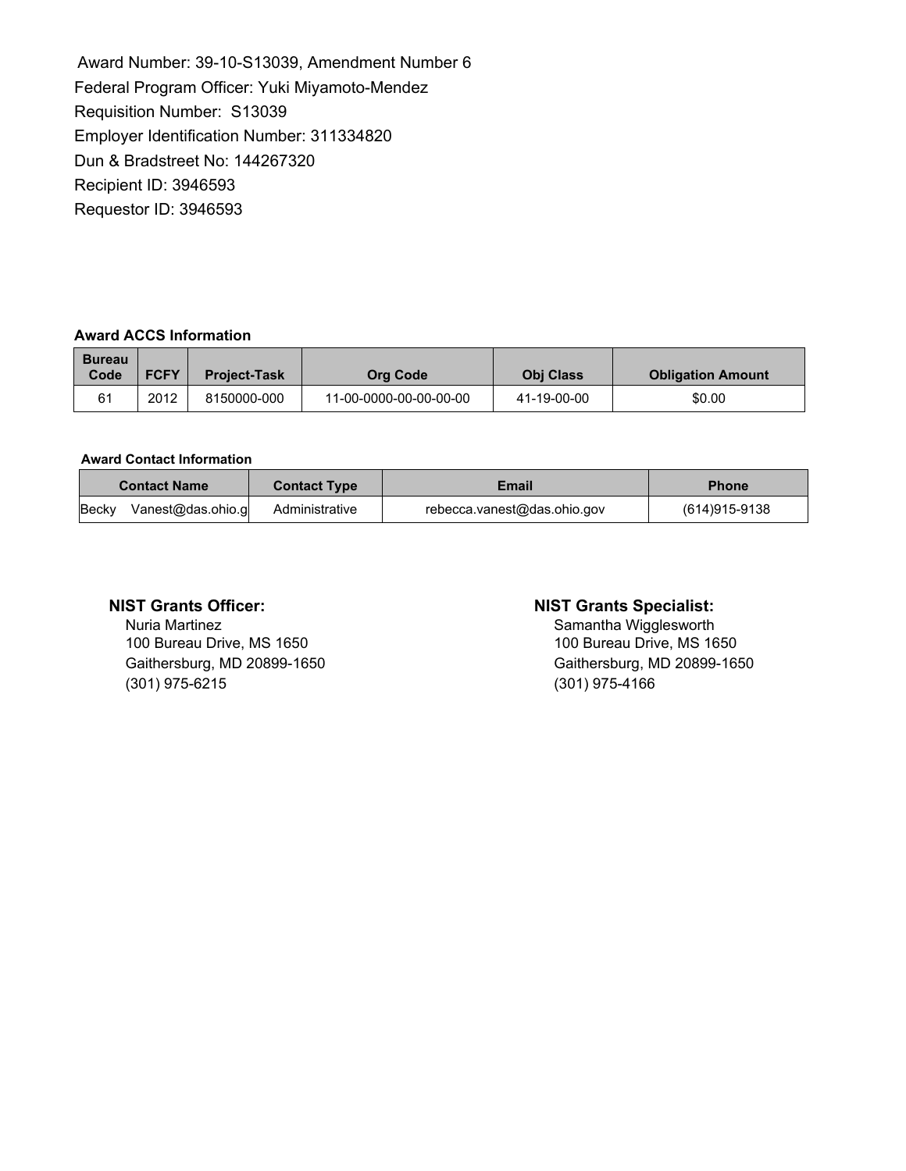Award Number: 39-10-S13039, Amendment Number 6 Federal Program Officer: Yuki Miyamoto-Mendez Requisition Number: S13039 Employer Identification Number: 311334820 Dun & Bradstreet No: 144267320 Recipient ID: 3946593 Requestor ID: 3946593

## **Award ACCS Information**

| <b>Bureau</b><br>Code | <b>FCFY</b> | <b>Project-Task</b> | <b>Org Code</b>        | <b>Obi Class</b> | <b>Obligation Amount</b> |
|-----------------------|-------------|---------------------|------------------------|------------------|--------------------------|
| 61                    | 2012        | 8150000-000         | 11-00-0000-00-00-00-00 | 41-19-00-00      | \$0.00                   |

## **Award Contact Information**

| <b>Contact Name</b>        | <b>Contact Type</b> | Email                       | <b>Phone</b>  |
|----------------------------|---------------------|-----------------------------|---------------|
| Vanest@das.ohio.g<br>Becky | Administrative      | rebecca.vanest@das.ohio.gov | (614)915-9138 |

Nuria Martinez<br>
100 Bureau Drive, MS 1650<br>
100 Bureau Drive, MS 1650<br>
100 Bureau Drive, MS 1650 100 Bureau Drive, MS 1650 (301) 975-6215 (301) 975-4166

## **NIST Grants Officer: NIST Grants Specialist:**

Gaithersburg, MD 20899-1650 Gaithersburg, MD 20899-1650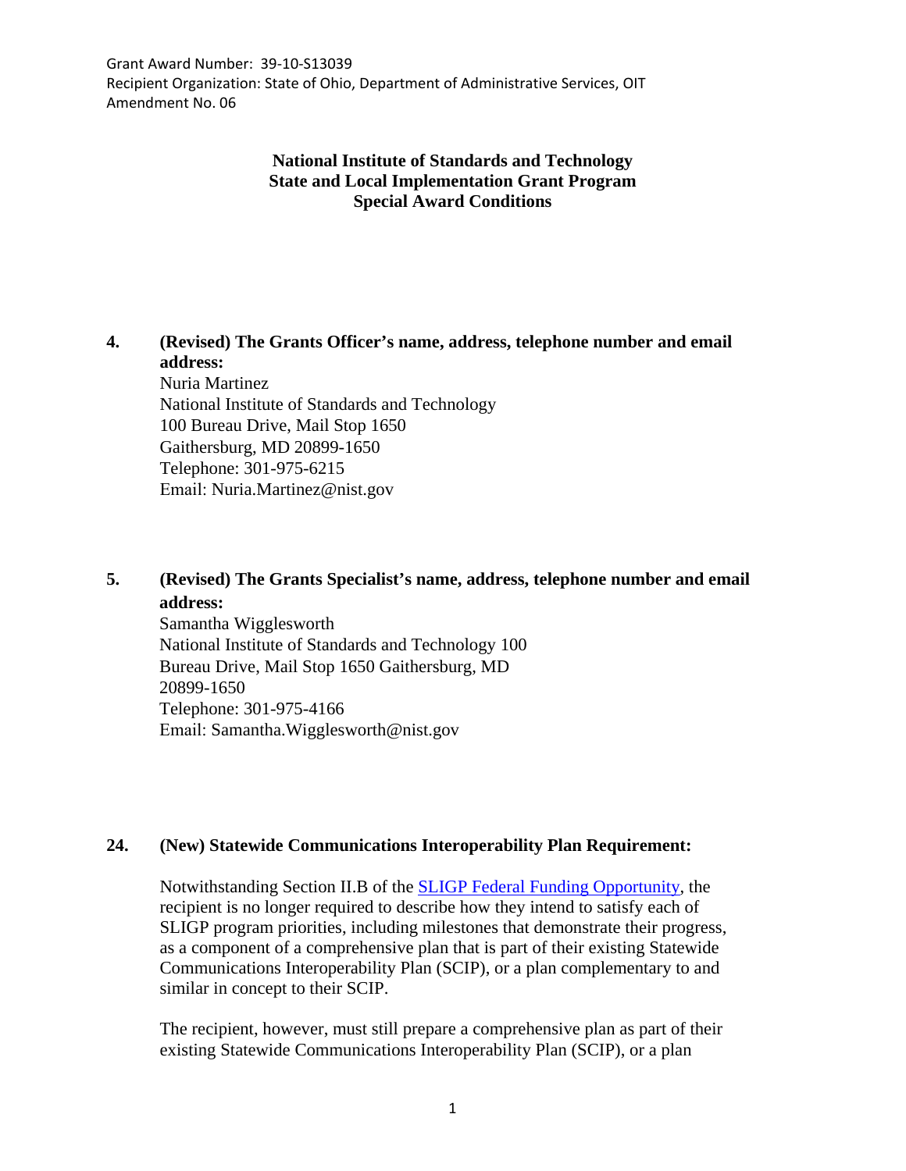Grant Award Number: 39-10-S13039 Recipient Organization: State of Ohio, Department of Administrative Services, OIT Amendment No. 06

# **National Institute of Standards and Technology State and Local Implementation Grant Program Special Award Conditions**

**4. (Revised) The Grants Officer's name, address, telephone number and email address:** Nuria Martinez National Institute of Standards and Technology 100 Bureau Drive, Mail Stop 1650 Gaithersburg, MD 20899-1650 Telephone: 301-975-6215 Email: Nuria.Martinez@nist.gov

# **5. (Revised) The Grants Specialist's name, address, telephone number and email address:**

Samantha Wigglesworth National Institute of Standards and Technology 100 Bureau Drive, Mail Stop 1650 Gaithersburg, MD 20899-1650 Telephone: 301-975-4166 Email: Samantha.Wigglesworth@nist.gov

## **24. (New) Statewide Communications Interoperability Plan Requirement:**

Notwithstanding Section II.B of the [SLIGP Federal Funding Opportunity,](https://na01.safelinks.protection.outlook.com/?url=https%3A%2F%2Fwww.ntia.doc.gov%2Ffiles%2Fntia%2Fpublications%2Fsligp_ffo_02062013.pdf&data=02%7C01%7Cdean.iwasaki%40nist.gov%7C850c0f2e89a249a1155208d51f9ae0cd%7C2ab5d82fd8fa4797a93e054655c61dec%7C1%7C1%7C636449672423549336&sdata=LcGAXaBVZ8R%2FnATNN9ArcJTtd5%2FKudaePofeDOMXFqY%3D&reserved=0) the recipient is no longer required to describe how they intend to satisfy each of SLIGP program priorities, including milestones that demonstrate their progress, as a component of a comprehensive plan that is part of their existing Statewide Communications Interoperability Plan (SCIP), or a plan complementary to and similar in concept to their SCIP.

The recipient, however, must still prepare a comprehensive plan as part of their existing Statewide Communications Interoperability Plan (SCIP), or a plan